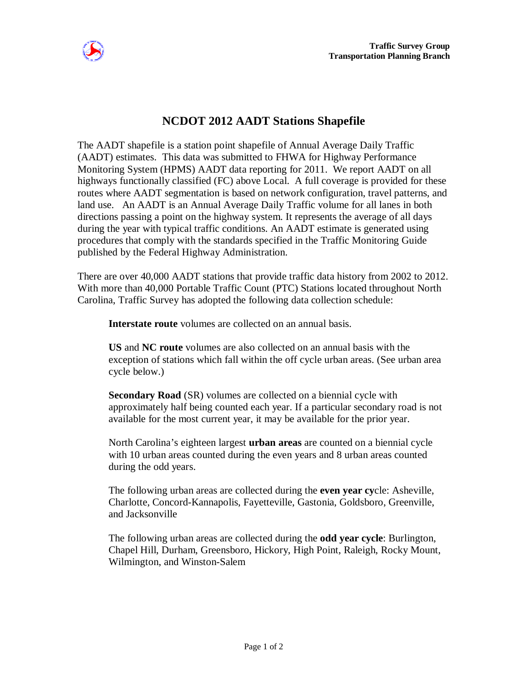

## **NCDOT 2012 AADT Stations Shapefile**

The AADT shapefile is a station point shapefile of Annual Average Daily Traffic (AADT) estimates. This data was submitted to FHWA for Highway Performance Monitoring System (HPMS) AADT data reporting for 2011. We report AADT on all highways functionally classified (FC) above Local. A full coverage is provided for these routes where AADT segmentation is based on network configuration, travel patterns, and land use. An AADT is an Annual Average Daily Traffic volume for all lanes in both directions passing a point on the highway system. It represents the average of all days during the year with typical traffic conditions. An AADT estimate is generated using procedures that comply with the standards specified in the Traffic Monitoring Guide published by the Federal Highway Administration.

There are over 40,000 AADT stations that provide traffic data history from 2002 to 2012. With more than 40,000 Portable Traffic Count (PTC) Stations located throughout North Carolina, Traffic Survey has adopted the following data collection schedule:

**Interstate route** volumes are collected on an annual basis.

**US** and **NC route** volumes are also collected on an annual basis with the exception of stations which fall within the off cycle urban areas. (See urban area cycle below.)

**Secondary Road** (SR) volumes are collected on a biennial cycle with approximately half being counted each year. If a particular secondary road is not available for the most current year, it may be available for the prior year.

North Carolina's eighteen largest **urban areas** are counted on a biennial cycle with 10 urban areas counted during the even years and 8 urban areas counted during the odd years.

The following urban areas are collected during the **even year cy**cle: Asheville, Charlotte, Concord-Kannapolis, Fayetteville, Gastonia, Goldsboro, Greenville, and Jacksonville

The following urban areas are collected during the **odd year cycle**: Burlington, Chapel Hill, Durham, Greensboro, Hickory, High Point, Raleigh, Rocky Mount, Wilmington, and Winston-Salem